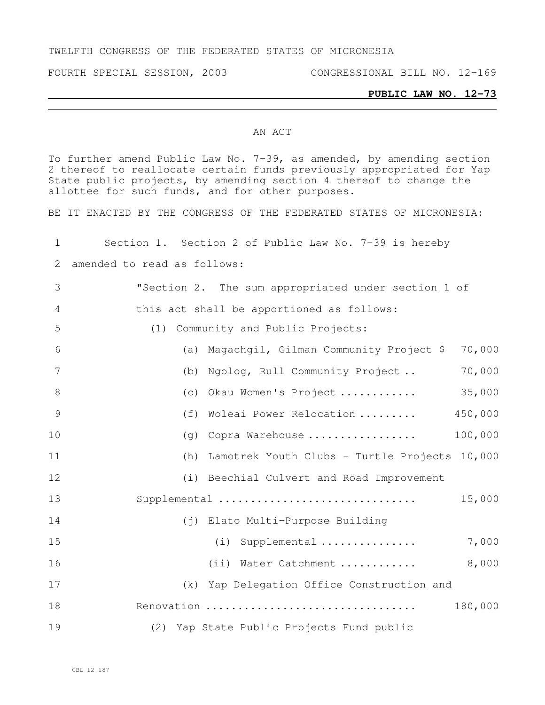### TWELFTH CONGRESS OF THE FEDERATED STATES OF MICRONESIA

FOURTH SPECIAL SESSION, 2003 CONGRESSIONAL BILL NO. 12-169

### **PUBLIC LAW NO. 12-73**

#### AN ACT

To further amend Public Law No. 7-39, as amended, by amending section 2 thereof to reallocate certain funds previously appropriated for Yap State public projects, by amending section 4 thereof to change the allottee for such funds, and for other purposes.

BE IT ENACTED BY THE CONGRESS OF THE FEDERATED STATES OF MICRONESIA:

| 1              |                             | Section 1. Section 2 of Public Law No. 7-39 is hereby |
|----------------|-----------------------------|-------------------------------------------------------|
| 2              | amended to read as follows: |                                                       |
| 3              |                             | "Section 2. The sum appropriated under section 1 of   |
| $\overline{4}$ |                             | this act shall be apportioned as follows:             |
| 5              |                             | (1) Community and Public Projects:                    |
| 6              |                             | 70,000<br>(a) Magachgil, Gilman Community Project \$  |
| 7              |                             | 70,000<br>(b) Ngolog, Rull Community Project          |
| 8              |                             | 35,000<br>(c) Okau Women's Project                    |
| 9              | (f)                         | 450,000<br>Woleai Power Relocation                    |
| 10             |                             | 100,000<br>(q) Copra Warehouse                        |
| 11             |                             | (h) Lamotrek Youth Clubs - Turtle Projects 10,000     |
| 12             |                             | (i) Beechial Culvert and Road Improvement             |
| 13             |                             | Supplemental<br>15,000                                |
| 14             |                             | (j) Elato Multi-Purpose Building                      |
| 15             |                             | Supplemental<br>7,000<br>(i)                          |
| 16             |                             | 8,000<br>(ii) Water Catchment                         |
| 17             |                             | (k) Yap Delegation Office Construction and            |
| 18             |                             | 180,000<br>Renovation                                 |
| 19             |                             | (2) Yap State Public Projects Fund public             |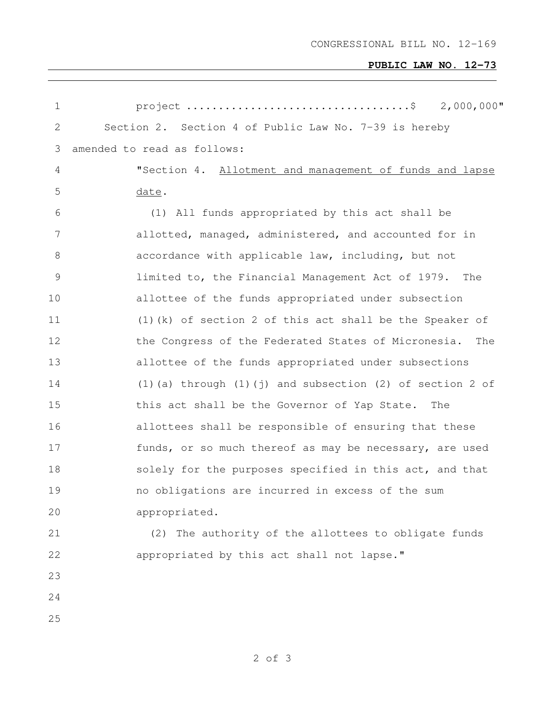# **PUBLIC LAW NO. 12-73**

| $\mathbf 1$ | $2,000,000$ "                                                    |
|-------------|------------------------------------------------------------------|
| 2           | Section 2. Section 4 of Public Law No. 7-39 is hereby            |
| 3           | amended to read as follows:                                      |
| 4           | "Section 4. Allotment and management of funds and lapse          |
| 5           | date.                                                            |
| 6           | (1) All funds appropriated by this act shall be                  |
| 7           | allotted, managed, administered, and accounted for in            |
| 8           | accordance with applicable law, including, but not               |
| $\mathsf 9$ | limited to, the Financial Management Act of 1979. The            |
| 10          | allottee of the funds appropriated under subsection              |
| 11          | $(1)$ (k) of section 2 of this act shall be the Speaker of       |
| 12          | the Congress of the Federated States of Micronesia.<br>The       |
| 13          | allottee of the funds appropriated under subsections             |
| 14          | $(1)$ (a) through $(1)$ (j) and subsection $(2)$ of section 2 of |
| 15          | this act shall be the Governor of Yap State.<br>The              |
| 16          | allottees shall be responsible of ensuring that these            |
| 17          | funds, or so much thereof as may be necessary, are used          |
| 18          | solely for the purposes specified in this act, and that          |
| 19          | no obligations are incurred in excess of the sum                 |
| 20          | appropriated.                                                    |
| 21          | (2) The authority of the allottees to obligate funds             |
| 22          | appropriated by this act shall not lapse."                       |
| 23          |                                                                  |
| 24          |                                                                  |
| 25          |                                                                  |
|             |                                                                  |